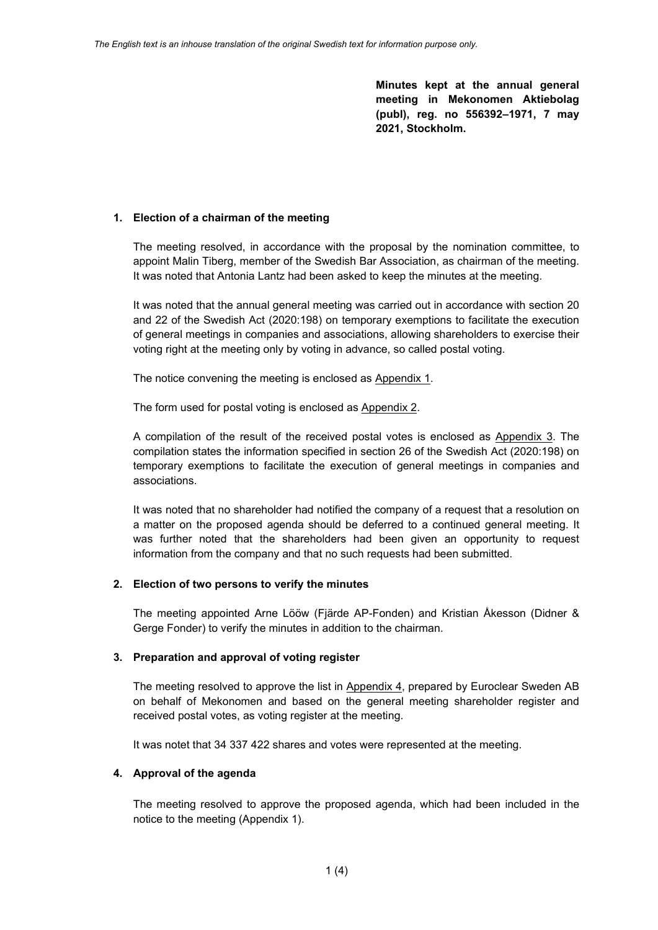**Minutes kept at the annual general meeting in Mekonomen Aktiebolag (publ), reg. no 556392–1971, 7 may 2021, Stockholm.**

### **1. Election of a chairman of the meeting**

The meeting resolved, in accordance with the proposal by the nomination committee, to appoint Malin Tiberg, member of the Swedish Bar Association, as chairman of the meeting. It was noted that Antonia Lantz had been asked to keep the minutes at the meeting.

It was noted that the annual general meeting was carried out in accordance with section 20 and 22 of the Swedish Act (2020:198) on temporary exemptions to facilitate the execution of general meetings in companies and associations, allowing shareholders to exercise their voting right at the meeting only by voting in advance, so called postal voting.

The notice convening the meeting is enclosed as Appendix 1.

The form used for postal voting is enclosed as Appendix 2.

A compilation of the result of the received postal votes is enclosed as Appendix 3. The compilation states the information specified in section 26 of the Swedish Act (2020:198) on temporary exemptions to facilitate the execution of general meetings in companies and associations.

It was noted that no shareholder had notified the company of a request that a resolution on a matter on the proposed agenda should be deferred to a continued general meeting. It was further noted that the shareholders had been given an opportunity to request information from the company and that no such requests had been submitted.

## **2. Election of two persons to verify the minutes**

The meeting appointed Arne Lööw (Fjärde AP-Fonden) and Kristian Åkesson (Didner & Gerge Fonder) to verify the minutes in addition to the chairman.

#### **3. Preparation and approval of voting register**

The meeting resolved to approve the list in Appendix 4, prepared by Euroclear Sweden AB on behalf of Mekonomen and based on the general meeting shareholder register and received postal votes, as voting register at the meeting.

It was notet that 34 337 422 shares and votes were represented at the meeting.

#### **4. Approval of the agenda**

The meeting resolved to approve the proposed agenda, which had been included in the notice to the meeting (Appendix 1).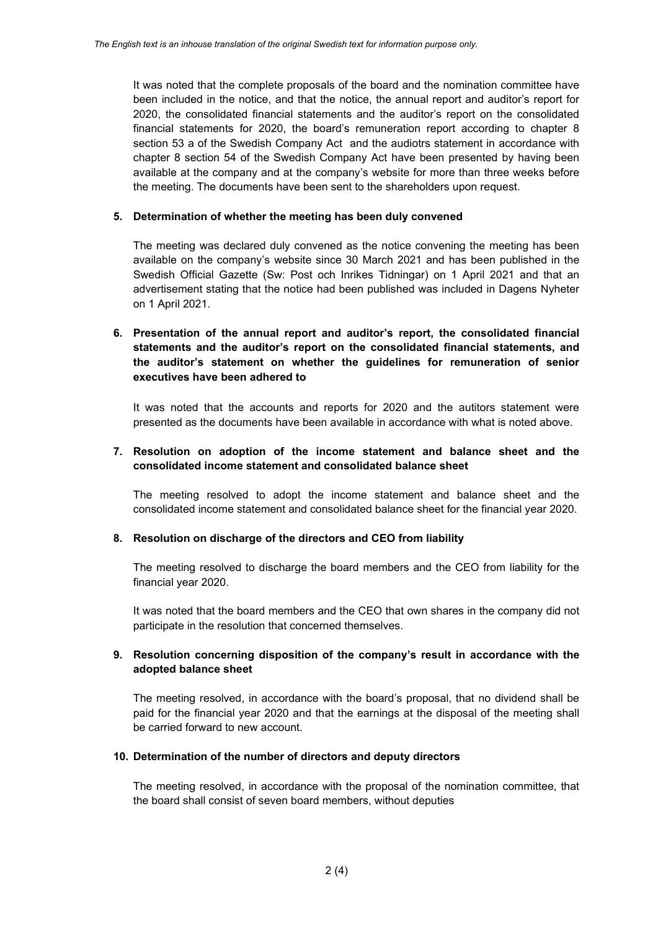It was noted that the complete proposals of the board and the nomination committee have been included in the notice, and that the notice, the annual report and auditor's report for 2020, the consolidated financial statements and the auditor's report on the consolidated financial statements for 2020, the board's remuneration report according to chapter 8 section 53 a of the Swedish Company Act and the audiotrs statement in accordance with chapter 8 section 54 of the Swedish Company Act have been presented by having been available at the company and at the company's website for more than three weeks before the meeting. The documents have been sent to the shareholders upon request.

## **5. Determination of whether the meeting has been duly convened**

The meeting was declared duly convened as the notice convening the meeting has been available on the company's website since 30 March 2021 and has been published in the Swedish Official Gazette (Sw: Post och Inrikes Tidningar) on 1 April 2021 and that an advertisement stating that the notice had been published was included in Dagens Nyheter on 1 April 2021.

# **6. Presentation of the annual report and auditor's report, the consolidated financial statements and the auditor's report on the consolidated financial statements, and the auditor's statement on whether the guidelines for remuneration of senior executives have been adhered to**

It was noted that the accounts and reports for 2020 and the autitors statement were presented as the documents have been available in accordance with what is noted above.

## **7. Resolution on adoption of the income statement and balance sheet and the consolidated income statement and consolidated balance sheet**

The meeting resolved to adopt the income statement and balance sheet and the consolidated income statement and consolidated balance sheet for the financial year 2020.

#### **8. Resolution on discharge of the directors and CEO from liability**

The meeting resolved to discharge the board members and the CEO from liability for the financial year 2020.

It was noted that the board members and the CEO that own shares in the company did not participate in the resolution that concerned themselves.

## **9. Resolution concerning disposition of the company's result in accordance with the adopted balance sheet**

The meeting resolved, in accordance with the board's proposal, that no dividend shall be paid for the financial year 2020 and that the earnings at the disposal of the meeting shall be carried forward to new account.

#### **10. Determination of the number of directors and deputy directors**

The meeting resolved, in accordance with the proposal of the nomination committee, that the board shall consist of seven board members, without deputies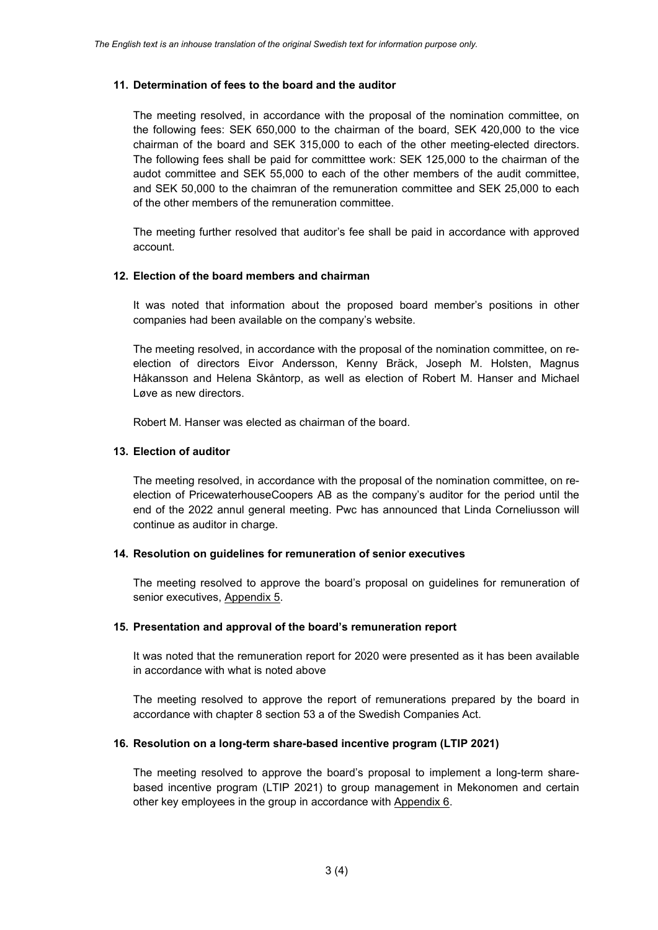### **11. Determination of fees to the board and the auditor**

The meeting resolved, in accordance with the proposal of the nomination committee, on the following fees: SEK 650,000 to the chairman of the board, SEK 420,000 to the vice chairman of the board and SEK 315,000 to each of the other meeting-elected directors. The following fees shall be paid for committtee work: SEK 125,000 to the chairman of the audot committee and SEK 55,000 to each of the other members of the audit committee, and SEK 50,000 to the chaimran of the remuneration committee and SEK 25,000 to each of the other members of the remuneration committee.

The meeting further resolved that auditor's fee shall be paid in accordance with approved account.

#### **12. Election of the board members and chairman**

It was noted that information about the proposed board member's positions in other companies had been available on the company's website.

The meeting resolved, in accordance with the proposal of the nomination committee, on reelection of directors Eivor Andersson, Kenny Bräck, Joseph M. Holsten, Magnus Håkansson and Helena Skåntorp, as well as election of Robert M. Hanser and Michael Løve as new directors.

Robert M. Hanser was elected as chairman of the board.

### **13. Election of auditor**

The meeting resolved, in accordance with the proposal of the nomination committee, on reelection of PricewaterhouseCoopers AB as the company's auditor for the period until the end of the 2022 annul general meeting. Pwc has announced that Linda Corneliusson will continue as auditor in charge.

### **14. Resolution on guidelines for remuneration of senior executives**

The meeting resolved to approve the board's proposal on guidelines for remuneration of senior executives, Appendix 5.

#### **15. Presentation and approval of the board's remuneration report**

It was noted that the remuneration report for 2020 were presented as it has been available in accordance with what is noted above

The meeting resolved to approve the report of remunerations prepared by the board in accordance with chapter 8 section 53 a of the Swedish Companies Act.

#### **16. Resolution on a long-term share-based incentive program (LTIP 2021)**

The meeting resolved to approve the board's proposal to implement a long-term sharebased incentive program (LTIP 2021) to group management in Mekonomen and certain other key employees in the group in accordance with Appendix 6.